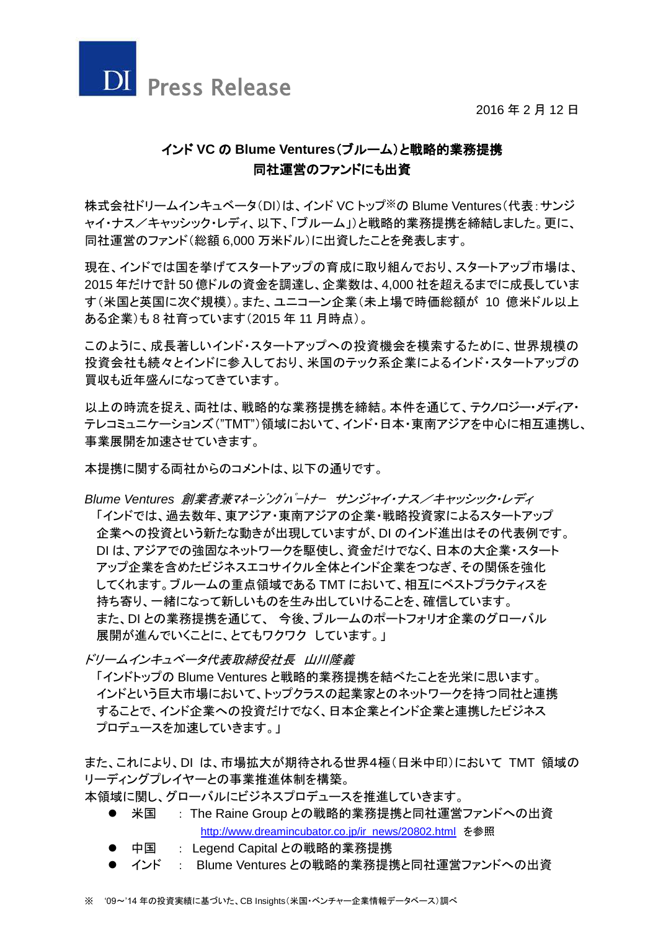



# インド **VC** の **Blume Ventures**(ブルーム)と戦略的業務提携 同社運営のファンドにも出資

株式会社ドリームインキュベータ(DI)は、インド VC トップ※の Blume Ventures(代表:サンジ ャイ・ナス/キャッシック・レディ、以下、「ブルーム」)と戦略的業務提携を締結しました。更に、 同社運営のファンド(総額 6,000 万米ドル)に出資したことを発表します。

現在、インドでは国を挙げてスタートアップの育成に取り組んでおり、スタートアップ市場は、 2015 年だけで計 50 億ドルの資金を調達し、企業数は、4,000 社を超えるまでに成長していま す(米国と英国に次ぐ規模)。また、ユニコーン企業(未上場で時価総額が 10 億米ドル以上 ある企業)も 8 社育っています(2015 年 11 月時点)。

このように、成長著しいインド・スタートアップへの投資機会を模索するために、世界規模の 投資会社も続々とインドに参入しており、米国のテック系企業によるインド・スタートアップの 買収も近年盛んになってきています。

以上の時流を捉え、両社は、戦略的な業務提携を締結。本件を通じて、テクノロジー・メディア・ テレコミュニケーションズ("TMT")領域において、インド・日本・東南アジアを中心に相互連携し、 事業展開を加速させていきます。

本提携に関する両社からのコメントは、以下の通りです。

*Blume Ventures* 創業者兼マネージングパートナー サンジャイ・ナス/キャッシック・レディ 「インドでは、過去数年、東アジア・東南アジアの企業・戦略投資家によるスタートアップ 企業への投資という新たな動きが出現していますが、DI のインド進出はその代表例です。 DI は、アジアでの強固なネットワークを駆使し、資金だけでなく、日本の大企業・スタート アップ企業を含めたビジネスエコサイクル全体とインド企業をつなぎ、その関係を強化 してくれます。ブルームの重点領域である TMT において、相互にベストプラクティスを 持ち寄り、一緒になって新しいものを生み出していけることを、確信しています。 また、DI との業務提携を通じて、 今後、ブルームのポートフォリオ企業のグローバル 展開が進んでいくことに、とてもワクワク しています。」

ドリームインキュベータ代表取締役社長 山川隆義

「インドトップの Blume Ventures と戦略的業務提携を結べたことを光栄に思います。 インドという巨大市場において、トップクラスの起業家とのネットワークを持つ同社と連携 することで、インド企業への投資だけでなく、日本企業とインド企業と連携したビジネス プロデュースを加速していきます。」

また、これにより、DI は、市場拡大が期待される世界4極(日米中印)において TMT 領域の リーディングプレイヤーとの事業推進体制を構築。

- 本領域に関し、グローバルにビジネスプロデュースを推進していきます。
	- 米国 : The Raine Group との戦略的業務提携と同社運営ファンドへの出資 [http://www.dreamincubator.co.jp/ir\\_news/20802.html](http://www.dreamincubator.co.jp/ir_news/20802.html) を参照
	- 中国 : Legend Capital との戦略的業務提携
	- インド : Blume Ventures との戦略的業務提携と同社運営ファンドへの出資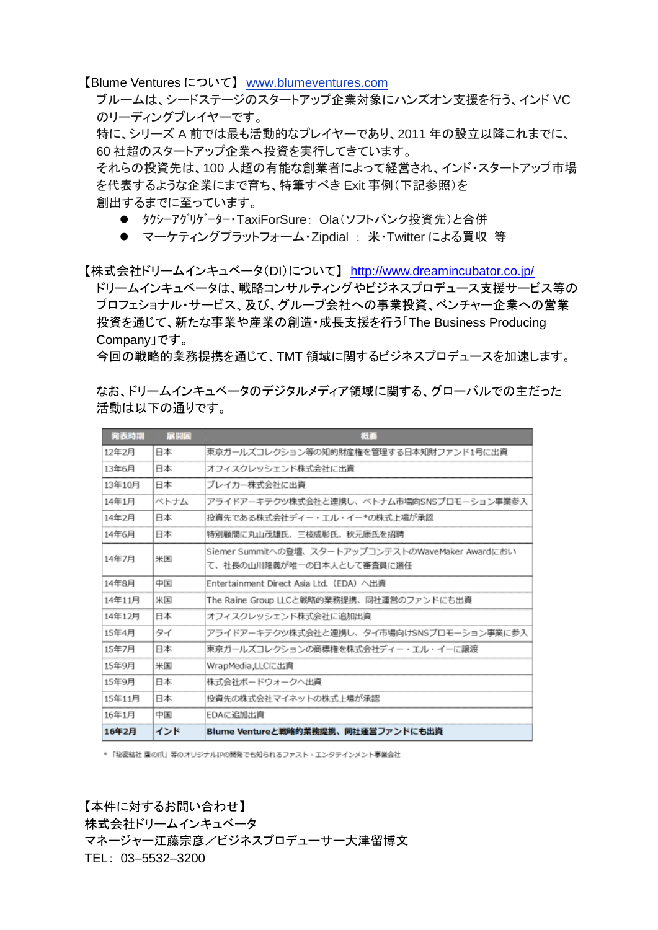【Blume Ventures について】 [www.blumeventures.com](http://www.blumeventures.com/)

ブルームは、シードステージのスタートアップ企業対象にハンズオン支援を行う、インド VC のリーディングプレイヤーです。

特に、シリーズ A 前では最も活動的なプレイヤーであり、2011 年の設立以降これまでに、 60 社超のスタートアップ企業へ投資を実行してきています。

それらの投資先は、100 人超の有能な創業者によって経営され、インド・スタートアップ市場 を代表するような企業にまで育ち、特筆すべき Exit 事例(下記参照)を 創出するまでに至っています。

- タクシーアグリゲーター・TaxiForSure: Ola(ソフトバンク投資先)と合併
- マーケティングプラットフォーム・Zipdial : 米・Twitter による買収 等

【株式会社ドリームインキュベータ(DI)について】 <http://www.dreamincubator.co.jp/>

ドリームインキュベータは、戦略コンサルティングやビジネスプロデュース支援サービス等の プロフェショナル・サービス、及び、グループ会社への事業投資、ベンチャー企業への営業 投資を通じて、新たな事業や産業の創造・成長支援を行う「The Business Producing Company」です。

今回の戦略的業務提携を通じて、TMT 領域に関するビジネスプロデュースを加速します。

なお、ドリームインキュベータのデジタルメディア領域に関する、グローバルでの主だった 活動は以下の通りです。

| 発表時期   | 展開国  | 提要                                                |
|--------|------|---------------------------------------------------|
| 12年2月  | 日本   | 東京ガールズコレクション等の知的財産権を管理する日本知財ファンド1号に出資             |
| 13年6月  | 日本   | オフィスクレッシェンド株式会社に出資                                |
| 13年10月 | 日本   | ブレイカー株式会社に出資                                      |
| 14年1月  | ベトナム | アライドアーキテクツ株式会社と連携し、ベトナム市場向SNSプロモーション事業参入          |
| 14年2月  | 日本   | 投資先である株式会社ディー・エル・イー*の株式上場が承認                      |
| 14年6月  | 日本   | 特別顧問に丸山茂雄氏、三枝成彰氏、秋元康氏を招聘                          |
| 14年7月  | 米国   | Siemer Summitへの登壇、スタートアップコンテストのWaveMaker Awardにおい |
|        |      | て、社長の山川降義が唯一の日本人として審査員に選任                         |
| 14年8月  | 中国   | Entertainment Direct Asia Ltd. (EDA) 八出資          |
| 14年11月 | 米国   | The Raine Group LLCと戦略的業務提携、同社運営のファンドにも出資         |
| 14年12月 | 日本   | オフィスクレッシェンド株式会社に追加出資                              |
| 15年4月  | タイ   | アライドアーキテクツ株式会社と連携し、タイ市場向けSNSプロモーション事業に参入          |
| 15年7月  | 日本   | 東京ガールズコレクションの商標権を株式会社ディー・エル・イーに譲渡                 |
| 15年9月  | 米国   | WrapMedia,LLCに出資                                  |
| 15年9月  | 日本   | 株式会社ボードウォークへ出資                                    |
| 15年11月 | 日本   | 投資先の株式会社マイネットの株式上場が承認                             |
| 16年1月  | 中国   | EDAに追加出資                                          |
| 16年2月  | インド  | Blume Ventureと戦略的業務提携、同社運営ファンドにも出資                |

\* 「秘密結社 鷹の爪」等のオリジナルIPの開発でも知られるファスト・エンタテインメント事業会社

【本件に対するお問い合わせ】 株式会社ドリームインキュベータ マネージャー江藤宗彦/ビジネスプロデューサー大津留博文 TEL: 03–5532–3200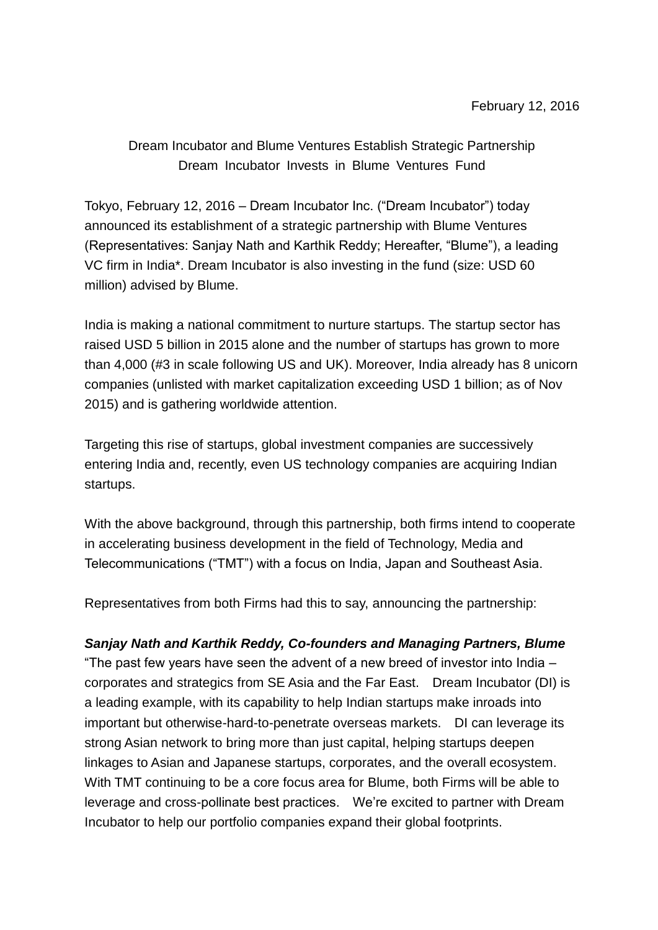Dream Incubator and Blume Ventures Establish Strategic Partnership Dream Incubator Invests in Blume Ventures Fund

Tokyo, February 12, 2016 – Dream Incubator Inc. ("Dream Incubator") today announced its establishment of a strategic partnership with Blume Ventures (Representatives: Sanjay Nath and Karthik Reddy; Hereafter, "Blume"), a leading VC firm in India\*. Dream Incubator is also investing in the fund (size: USD 60 million) advised by Blume.

India is making a national commitment to nurture startups. The startup sector has raised USD 5 billion in 2015 alone and the number of startups has grown to more than 4,000 (#3 in scale following US and UK). Moreover, India already has 8 unicorn companies (unlisted with market capitalization exceeding USD 1 billion; as of Nov 2015) and is gathering worldwide attention.

Targeting this rise of startups, global investment companies are successively entering India and, recently, even US technology companies are acquiring Indian startups.

With the above background, through this partnership, both firms intend to cooperate in accelerating business development in the field of Technology, Media and Telecommunications ("TMT") with a focus on India, Japan and Southeast Asia.

Representatives from both Firms had this to say, announcing the partnership:

#### *Sanjay Nath and Karthik Reddy, Co-founders and Managing Partners, Blume*

"The past few years have seen the advent of a new breed of investor into India – corporates and strategics from SE Asia and the Far East. Dream Incubator (DI) is a leading example, with its capability to help Indian startups make inroads into important but otherwise-hard-to-penetrate overseas markets. DI can leverage its strong Asian network to bring more than just capital, helping startups deepen linkages to Asian and Japanese startups, corporates, and the overall ecosystem. With TMT continuing to be a core focus area for Blume, both Firms will be able to leverage and cross-pollinate best practices. We're excited to partner with Dream Incubator to help our portfolio companies expand their global footprints.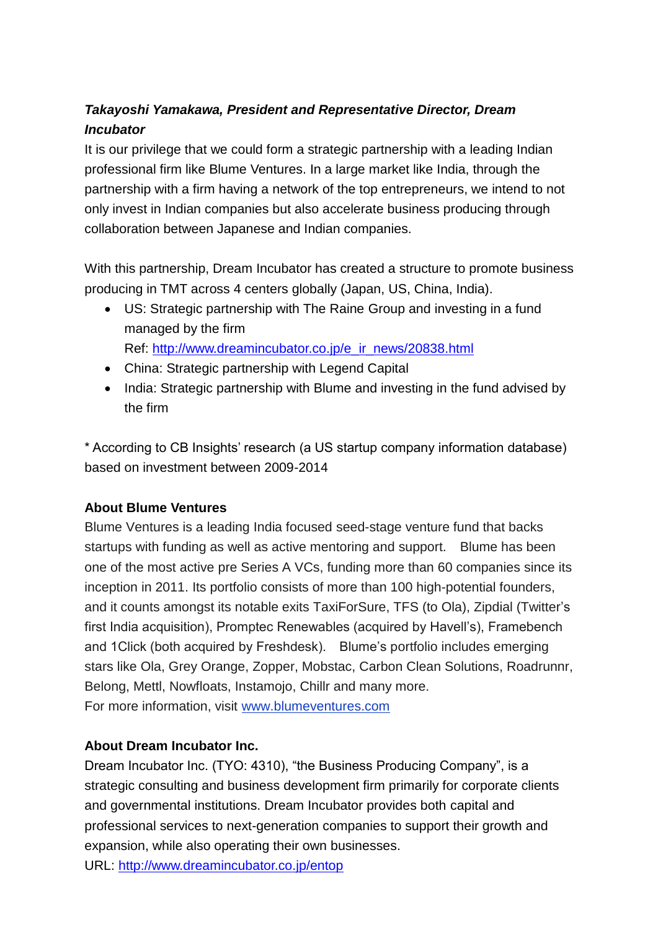# *Takayoshi Yamakawa, President and Representative Director, Dream Incubator*

It is our privilege that we could form a strategic partnership with a leading Indian professional firm like Blume Ventures. In a large market like India, through the partnership with a firm having a network of the top entrepreneurs, we intend to not only invest in Indian companies but also accelerate business producing through collaboration between Japanese and Indian companies.

With this partnership, Dream Incubator has created a structure to promote business producing in TMT across 4 centers globally (Japan, US, China, India).

 US: Strategic partnership with The Raine Group and investing in a fund managed by the firm

Ref: [http://www.dreamincubator.co.jp/e\\_ir\\_news/20838.html](http://www.dreamincubator.co.jp/e_ir_news/20838.html)

- China: Strategic partnership with Legend Capital
- India: Strategic partnership with Blume and investing in the fund advised by the firm

\* According to CB Insights' research (a US startup company information database) based on investment between 2009-2014

### **About Blume Ventures**

Blume Ventures is a leading India focused seed-stage venture fund that backs startups with funding as well as active mentoring and support. Blume has been one of the most active pre Series A VCs, funding more than 60 companies since its inception in 2011. Its portfolio consists of more than 100 high-potential founders, and it counts amongst its notable exits TaxiForSure, TFS (to Ola), Zipdial (Twitter's first India acquisition), Promptec Renewables (acquired by Havell's), Framebench and 1Click (both acquired by Freshdesk). Blume's portfolio includes emerging stars like Ola, Grey Orange, Zopper, Mobstac, Carbon Clean Solutions, Roadrunnr, Belong, Mettl, Nowfloats, Instamojo, Chillr and many more. For more information, visit [www.blumeventures.com](http://www.blumeventures.com/)

# **About Dream Incubator Inc.**

Dream Incubator Inc. (TYO: 4310), "the Business Producing Company", is a strategic consulting and business development firm primarily for corporate clients and governmental institutions. Dream Incubator provides both capital and professional services to next-generation companies to support their growth and expansion, while also operating their own businesses.

URL:<http://www.dreamincubator.co.jp/entop>